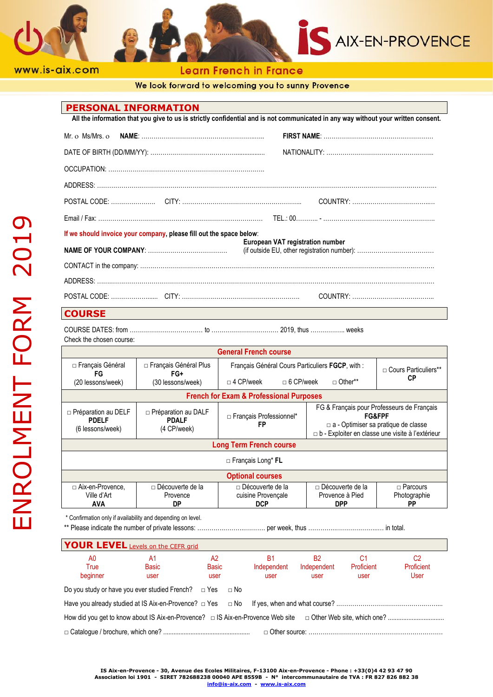



Learn French in France

We look forward to welcoming you to sunny Provence

### **PERSONAL INFORMATION**

**All the information that you give to us is strictly confidential and is not communicated in any way without your written consent.**

| If we should invoice your company, please fill out the space below:<br>European VAT registration number |  |  |  |
|---------------------------------------------------------------------------------------------------------|--|--|--|
|                                                                                                         |  |  |  |
|                                                                                                         |  |  |  |
|                                                                                                         |  |  |  |
|                                                                                                         |  |  |  |

## **COURSE**

COURSE DATES: from ……………………………… to …………………………… 2019, thus …………….. weeks

Check the chosen course:

| <b>General French course</b>                                   |                                                           |                                                 |                         |                                                                                                                                                                     |  |
|----------------------------------------------------------------|-----------------------------------------------------------|-------------------------------------------------|-------------------------|---------------------------------------------------------------------------------------------------------------------------------------------------------------------|--|
| $\Box$ Français Général<br>FG                                  | □ Français Général Plus<br>FG+                            | Français Général Cours Particuliers FGCP, with: |                         | $\Box$ Cours Particuliers**<br>CР                                                                                                                                   |  |
| (20 lessons/week)                                              | (30 lessons/week)                                         | $\Box$ 6 CP/week<br>$\Box$ 4 CP/week            | $\Box$ Other**          |                                                                                                                                                                     |  |
| <b>French for Exam &amp; Professional Purposes</b>             |                                                           |                                                 |                         |                                                                                                                                                                     |  |
| $\Box$ Préparation au DELF<br><b>PDELF</b><br>(6 lessons/week) | $\Box$ Préparation au DALF<br><b>PDALF</b><br>(4 CP/week) | □ Français Professionnel*<br>FP                 |                         | FG & Français pour Professeurs de Français<br><b>FG&amp;FPF</b><br>$\Box$ a - Optimiser sa pratique de classe<br>□ b - Exploiter en classe une visite à l'extérieur |  |
| <b>Long Term French course</b>                                 |                                                           |                                                 |                         |                                                                                                                                                                     |  |
| $\Box$ Francais Long* FL                                       |                                                           |                                                 |                         |                                                                                                                                                                     |  |
| <b>Optional courses</b>                                        |                                                           |                                                 |                         |                                                                                                                                                                     |  |
| □ Aix-en-Provence,                                             | $\Box$ Découverte de la                                   | $\Box$ Découverte de la                         | $\Box$ Découverte de la | $\Box$ Parcours                                                                                                                                                     |  |
| Ville d'Art                                                    | Provence                                                  | cuisine Provencale                              | Provence à Pied         | Photographie                                                                                                                                                        |  |
| <b>AVA</b>                                                     | DP                                                        | <b>DCP</b>                                      | <b>DPP</b>              | <b>PP</b>                                                                                                                                                           |  |

\* Confirmation only if availability and depending on level.

\*\* Please indicate the number of private lessons: ………….………..………. per week, thus …………..………….……..… in total.

| <b>YOUR LEVEL</b> Levels on the CEFR grid                                                                                |             |                    |                   |                          |                              |                  |
|--------------------------------------------------------------------------------------------------------------------------|-------------|--------------------|-------------------|--------------------------|------------------------------|------------------|
| A <sub>0</sub><br>True                                                                                                   | A1<br>Basic | A2<br><b>Basic</b> | B1<br>Independent | <b>B2</b><br>Independent | C <sub>1</sub><br>Proficient | C2<br>Proficient |
| beginner                                                                                                                 | user        | user               | user              | user                     | user                         | User             |
| Do you study or have you ever studied French? $\Box$ Yes $\Box$ No                                                       |             |                    |                   |                          |                              |                  |
|                                                                                                                          |             |                    |                   |                          |                              |                  |
| How did you get to know about IS Aix-en-Provence? □ IS Aix-en-Provence Web site □ Other Web site, which one? …………………………… |             |                    |                   |                          |                              |                  |
|                                                                                                                          |             |                    |                   |                          |                              |                  |